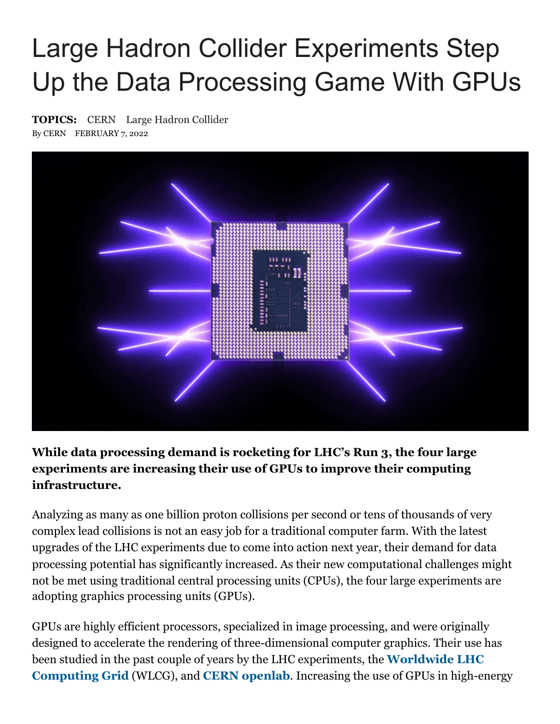## Large Hadron Collider Experiments Step Up the Data Processing Game With GPUs

**TOPICS:** [CERN](https://scitechdaily.com/tag/cern/) [Large Hadron Collider](https://scitechdaily.com/tag/large-hadron-collider/) By CERN FEBRUARY 7, 2022



## **While data processing demand is rocketing for LHC's Run 3, the four large experiments are increasing their use of GPUs to improve their computing infrastructure.**

Analyzing as many as one billion proton collisions per second or tens of thousands of very complex lead collisions is not an easy job for a traditional computer farm. With the latest upgrades of the LHC experiments due to come into action next year, their demand for data processing potential has significantly increased. As their new computational challenges might not be met using traditional central processing units (CPUs), the four large experiments are adopting graphics processing units (GPUs).

GPUs are highly efficient processors, specialized in image processing, and were originally designed to accelerate the rendering of three-dimensional computer graphics. Their use has [been studied in the past couple of years by the LHC experiments, the](https://home.cern/science/computing/grid) **Worldwide LHC Computing Grid** (WLCG), and **[CERN openlab](https://home.cern/science/computing/cern-openlab)**. Increasing the use of GPUs in high-energy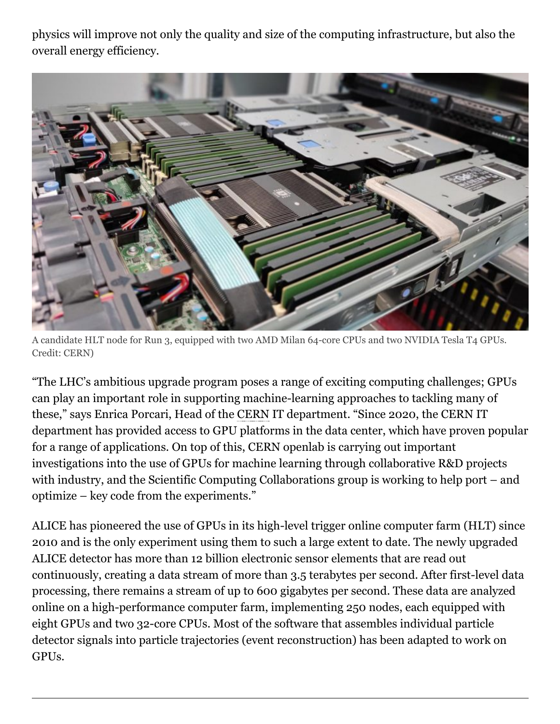physics will improve not only the quality and size of the computing infrastructure, but also the overall energy efficiency.



A candidate HLT node for Run 3, equipped with two AMD Milan 64-core CPUs and two NVIDIA Tesla T4 GPUs. Credit: CERN)

"The LHC's ambitious upgrade program poses a range of exciting computing challenges; GPUs can play an important role in supporting machine-learning approaches to tackling many of these," says Enrica Porcari, Head of the CERN IT department. "Since 2020, the CERN IT department has provided access to GPU platforms in the data center, which have proven popular for a range of applications. On top of this, CERN openlab is carrying out important investigations into the use of GPUs for machine learning through collaborative R&D projects with industry, and the Scientific Computing Collaborations group is working to help port – and optimize – key code from the experiments."

ALICE has pioneered the use of GPUs in its high-level trigger online computer farm (HLT) since 2010 and is the only experiment using them to such a large extent to date. The newly upgraded ALICE detector has more than 12 billion electronic sensor elements that are read out continuously, creating a data stream of more than 3.5 terabytes per second. After first-level data processing, there remains a stream of up to 600 gigabytes per second. These data are analyzed online on a high-performance computer farm, implementing 250 nodes, each equipped with eight GPUs and two 32-core CPUs. Most of the software that assembles individual particle detector signals into particle trajectories (event reconstruction) has been adapted to work on GPUs.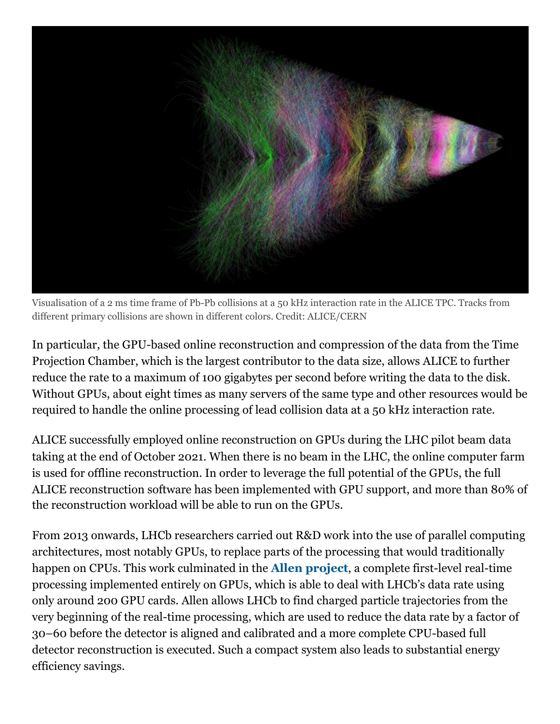

Visualisation of a 2 ms time frame of Pb-Pb collisions at a 50 kHz interaction rate in the ALICE TPC. Tracks from different primary collisions are shown in different colors. Credit: ALICE/CERN

In particular, the GPU-based online reconstruction and compression of the data from the Time Projection Chamber, which is the largest contributor to the data size, allows ALICE to further reduce the rate to a maximum of 100 gigabytes per second before writing the data to the disk. Without GPUs, about eight times as many servers of the same type and other resources would be required to handle the online processing of lead collision data at a 50 kHz interaction rate.

ALICE successfully employed online reconstruction on GPUs during the LHC pilot beam data taking at the end of October 2021. When there is no beam in the LHC, the online computer farm is used for offline reconstruction. In order to leverage the full potential of the GPUs, the full ALICE reconstruction software has been implemented with GPU support, and more than 80% of the reconstruction workload will be able to run on the GPUs.

From 2013 onwards, LHCb researchers carried out R&D work into the use of parallel computing architectures, most notably GPUs, to replace parts of the processing that would traditionally happen on CPUs. This work culminated in the **[Allen project](https://home.cern/news/news/computing/allen-initiative-supported-cern-openlab-key-lhcb-trigger-upgrade)**, a complete first-level real-time processing implemented entirely on GPUs, which is able to deal with LHCb's data rate using only around 200 GPU cards. Allen allows LHCb to find charged particle trajectories from the very beginning of the real-time processing, which are used to reduce the data rate by a factor of 30–60 before the detector is aligned and calibrated and a more complete CPU-based full detector reconstruction is executed. Such a compact system also leads to substantial energy efficiency savings.